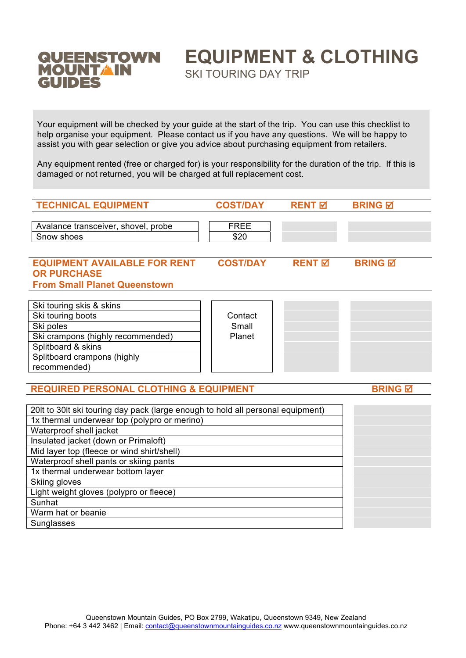

# **EQUIPMENT & CLOTHING**

SKI TOURING DAY TRIP

Your equipment will be checked by your guide at the start of the trip. You can use this checklist to help organise your equipment. Please contact us if you have any questions. We will be happy to assist you with gear selection or give you advice about purchasing equipment from retailers.

Any equipment rented (free or charged for) is your responsibility for the duration of the trip. If this is damaged or not returned, you will be charged at full replacement cost.

| <b>TECHNICAL EQUIPMENT</b>                                                                       | <b>COST/DAY</b>     | <b>RENT</b> 团            | <b>BRING</b> 团 |
|--------------------------------------------------------------------------------------------------|---------------------|--------------------------|----------------|
| Avalance transceiver, shovel, probe<br>Snow shoes                                                | <b>FREE</b><br>\$20 |                          |                |
| <b>EQUIPMENT AVAILABLE FOR RENT</b><br><b>OR PURCHASE</b><br><b>From Small Planet Queenstown</b> | <b>COST/DAY</b>     | <b>RENT</b> <sub>I</sub> | <b>BRING M</b> |
|                                                                                                  |                     |                          |                |
| Ski touring skis & skins                                                                         |                     |                          |                |
| Ski touring boots                                                                                | Contact             |                          |                |
| Ski poles                                                                                        | Small               |                          |                |
| Ski crampons (highly recommended)                                                                | Planet              |                          |                |
| Splitboard & skins                                                                               |                     |                          |                |
| Splitboard crampons (highly                                                                      |                     |                          |                |
| recommended)                                                                                     |                     |                          |                |

### **REQUIRED PERSONAL CLOTHING & EQUIPMENT FRING BRING & BRING BRING**

| 20It to 30It ski touring day pack (large enough to hold all personal equipment) |  |
|---------------------------------------------------------------------------------|--|
| 1x thermal underwear top (polypro or merino)                                    |  |
| Waterproof shell jacket                                                         |  |
| Insulated jacket (down or Primaloft)                                            |  |
| Mid layer top (fleece or wind shirt/shell)                                      |  |
| Waterproof shell pants or skiing pants                                          |  |
| 1x thermal underwear bottom layer                                               |  |
| Skiing gloves                                                                   |  |
| Light weight gloves (polypro or fleece)                                         |  |
| Sunhat                                                                          |  |
| Warm hat or beanie                                                              |  |
| Sunglasses                                                                      |  |